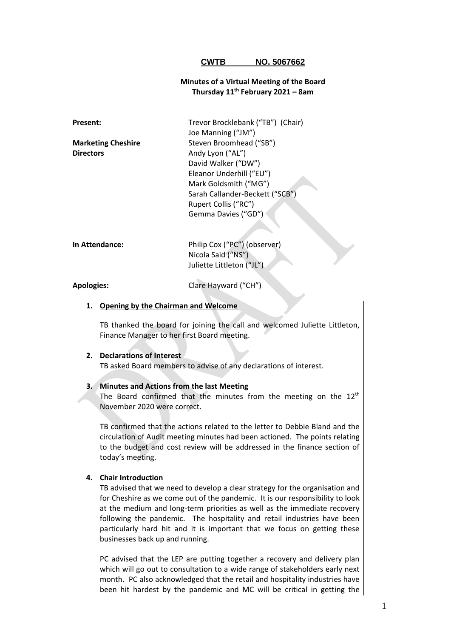### **CWTB NO. 5067662**

# **Minutes of a Virtual Meeting of the Board Thursday 11th February 2021 – 8am**

| <b>Present:</b>           | Trevor Brocklebank ("TB") (Chair) |
|---------------------------|-----------------------------------|
|                           | Joe Manning ("JM")                |
| <b>Marketing Cheshire</b> | Steven Broomhead ("SB")           |
| <b>Directors</b>          | Andy Lyon ("AL")                  |
|                           | David Walker ("DW")               |
|                           | Eleanor Underhill ("EU")          |
|                           | Mark Goldsmith ("MG")             |
|                           | Sarah Callander-Beckett ("SCB")   |
|                           | Rupert Collis ("RC")              |
|                           | Gemma Davies ("GD")               |
|                           |                                   |
|                           |                                   |
| In Attendance:            | Philip Cox ("PC") (observer)      |

**Apologies:** Clare Hayward ("CH")

Nicola Said ("NS") Juliette Littleton ("JL")

#### **1. Opening by the Chairman and Welcome**

TB thanked the board for joining the call and welcomed Juliette Littleton, Finance Manager to her first Board meeting.

#### **2. Declarations of Interest**

TB asked Board members to advise of any declarations of interest.

# **3. Minutes and Actions from the last Meeting**

The Board confirmed that the minutes from the meeting on the  $12<sup>th</sup>$ November 2020 were correct.

TB confirmed that the actions related to the letter to Debbie Bland and the circulation of Audit meeting minutes had been actioned. The points relating to the budget and cost review will be addressed in the finance section of today's meeting.

### **4. Chair Introduction**

TB advised that we need to develop a clear strategy for the organisation and for Cheshire as we come out of the pandemic. It is our responsibility to look at the medium and long-term priorities as well as the immediate recovery following the pandemic. The hospitality and retail industries have been particularly hard hit and it is important that we focus on getting these businesses back up and running.

PC advised that the LEP are putting together a recovery and delivery plan which will go out to consultation to a wide range of stakeholders early next month. PC also acknowledged that the retail and hospitality industries have been hit hardest by the pandemic and MC will be critical in getting the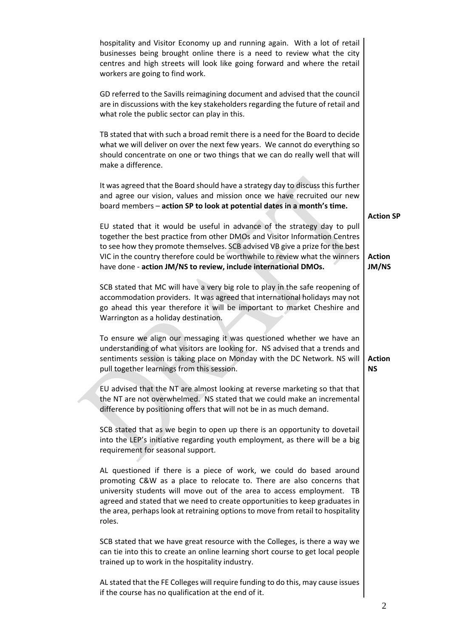| hospitality and Visitor Economy up and running again. With a lot of retail<br>businesses being brought online there is a need to review what the city<br>centres and high streets will look like going forward and where the retail<br>workers are going to find work.                                                                                                                             |                            |
|----------------------------------------------------------------------------------------------------------------------------------------------------------------------------------------------------------------------------------------------------------------------------------------------------------------------------------------------------------------------------------------------------|----------------------------|
| GD referred to the Savills reimagining document and advised that the council<br>are in discussions with the key stakeholders regarding the future of retail and<br>what role the public sector can play in this.                                                                                                                                                                                   |                            |
| TB stated that with such a broad remit there is a need for the Board to decide<br>what we will deliver on over the next few years. We cannot do everything so<br>should concentrate on one or two things that we can do really well that will<br>make a difference.                                                                                                                                |                            |
| It was agreed that the Board should have a strategy day to discuss this further<br>and agree our vision, values and mission once we have recruited our new<br>board members - action SP to look at potential dates in a month's time.                                                                                                                                                              | <b>Action SP</b>           |
| EU stated that it would be useful in advance of the strategy day to pull<br>together the best practice from other DMOs and Visitor Information Centres<br>to see how they promote themselves. SCB advised VB give a prize for the best<br>VIC in the country therefore could be worthwhile to review what the winners<br>have done - action JM/NS to review, include international DMOs.           | <b>Action</b><br>JM/NS     |
| SCB stated that MC will have a very big role to play in the safe reopening of<br>accommodation providers. It was agreed that international holidays may not<br>go ahead this year therefore it will be important to market Cheshire and<br>Warrington as a holiday destination.                                                                                                                    |                            |
| To ensure we align our messaging it was questioned whether we have an<br>understanding of what visitors are looking for. NS advised that a trends and<br>sentiments session is taking place on Monday with the DC Network. NS will<br>pull together learnings from this session.                                                                                                                   | <b>Action</b><br><b>NS</b> |
| EU advised that the NT are almost looking at reverse marketing so that that<br>the NT are not overwhelmed. NS stated that we could make an incremental<br>difference by positioning offers that will not be in as much demand.                                                                                                                                                                     |                            |
| SCB stated that as we begin to open up there is an opportunity to dovetail<br>into the LEP's initiative regarding youth employment, as there will be a big<br>requirement for seasonal support.                                                                                                                                                                                                    |                            |
| AL questioned if there is a piece of work, we could do based around<br>promoting C&W as a place to relocate to. There are also concerns that<br>university students will move out of the area to access employment. TB<br>agreed and stated that we need to create opportunities to keep graduates in<br>the area, perhaps look at retraining options to move from retail to hospitality<br>roles. |                            |
| SCB stated that we have great resource with the Colleges, is there a way we<br>can tie into this to create an online learning short course to get local people<br>trained up to work in the hospitality industry.                                                                                                                                                                                  |                            |
| AL stated that the FE Colleges will require funding to do this, may cause issues<br>if the course has no qualification at the end of it.                                                                                                                                                                                                                                                           |                            |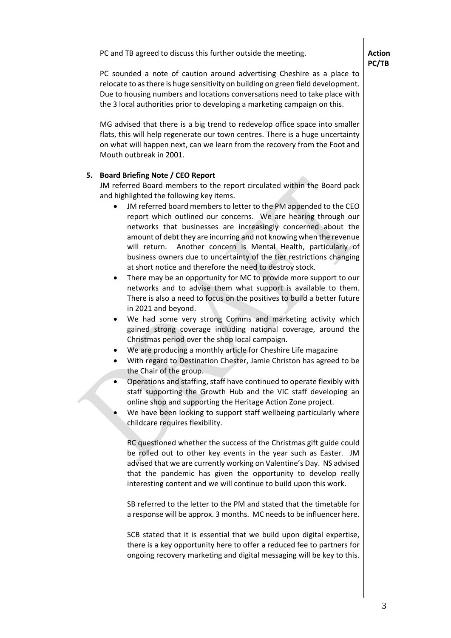PC and TB agreed to discuss this further outside the meeting.

PC sounded a note of caution around advertising Cheshire as a place to relocate to as there is huge sensitivity on building on green field development. Due to housing numbers and locations conversations need to take place with the 3 local authorities prior to developing a marketing campaign on this.

MG advised that there is a big trend to redevelop office space into smaller flats, this will help regenerate our town centres. There is a huge uncertainty on what will happen next, can we learn from the recovery from the Foot and Mouth outbreak in 2001.

# **5. Board Briefing Note / CEO Report**

JM referred Board members to the report circulated within the Board pack and highlighted the following key items.

- JM referred board members to letter to the PM appended to the CEO report which outlined our concerns. We are hearing through our networks that businesses are increasingly concerned about the amount of debt they are incurring and not knowing when the revenue will return. Another concern is Mental Health, particularly of business owners due to uncertainty of the tier restrictions changing at short notice and therefore the need to destroy stock.
- There may be an opportunity for MC to provide more support to our networks and to advise them what support is available to them. There is also a need to focus on the positives to build a better future in 2021 and beyond.
- We had some very strong Comms and marketing activity which gained strong coverage including national coverage, around the Christmas period over the shop local campaign.
- We are producing a monthly article for Cheshire Life magazine
- With regard to Destination Chester, Jamie Christon has agreed to be the Chair of the group.
- Operations and staffing, staff have continued to operate flexibly with staff supporting the Growth Hub and the VIC staff developing an online shop and supporting the Heritage Action Zone project.
- We have been looking to support staff wellbeing particularly where childcare requires flexibility.

RC questioned whether the success of the Christmas gift guide could be rolled out to other key events in the year such as Easter. JM advised that we are currently working on Valentine's Day. NS advised that the pandemic has given the opportunity to develop really interesting content and we will continue to build upon this work.

SB referred to the letter to the PM and stated that the timetable for a response will be approx. 3 months. MC needsto be influencer here.

SCB stated that it is essential that we build upon digital expertise, there is a key opportunity here to offer a reduced fee to partners for ongoing recovery marketing and digital messaging will be key to this.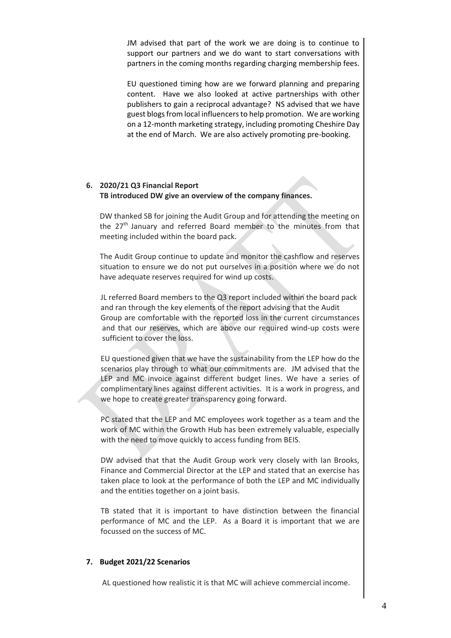JM advised that part of the work we are doing is to continue to support our partners and we do want to start conversations with partners in the coming months regarding charging membership fees.

EU questioned timing how are we forward planning and preparing content. Have we also looked at active partnerships with other publishers to gain a reciprocal advantage? NS advised that we have guest blogs from local influencers to help promotion. We are working on a 12-month marketing strategy, including promoting Cheshire Day at the end of March. We are also actively promoting pre-booking.

# **6. 2020/21 Q3 Financial Report TB introduced DW give an overview of the company finances.**

DW thanked SB for joining the Audit Group and for attending the meeting on the  $27<sup>th</sup>$  January and referred Board member to the minutes from that meeting included within the board pack.

The Audit Group continue to update and monitor the cashflow and reserves situation to ensure we do not put ourselves in a position where we do not have adequate reserves required for wind up costs.

JL referred Board members to the Q3 report included within the board pack and ran through the key elements of the report advising that the Audit Group are comfortable with the reported loss in the current circumstances and that our reserves, which are above our required wind‐up costs were sufficient to cover the loss.

EU questioned given that we have the sustainability from the LEP how do the scenarios play through to what our commitments are. JM advised that the LEP and MC invoice against different budget lines. We have a series of complimentary lines against different activities. It is a work in progress, and we hope to create greater transparency going forward.

PC stated that the LEP and MC employees work together as a team and the work of MC within the Growth Hub has been extremely valuable, especially with the need to move quickly to access funding from BEIS.

DW advised that that the Audit Group work very closely with Ian Brooks, Finance and Commercial Director at the LEP and stated that an exercise has taken place to look at the performance of both the LEP and MC individually and the entities together on a joint basis.

TB stated that it is important to have distinction between the financial performance of MC and the LEP. As a Board it is important that we are focussed on the success of MC.

# **7. Budget 2021/22 Scenarios**

AL questioned how realistic it is that MC will achieve commercial income.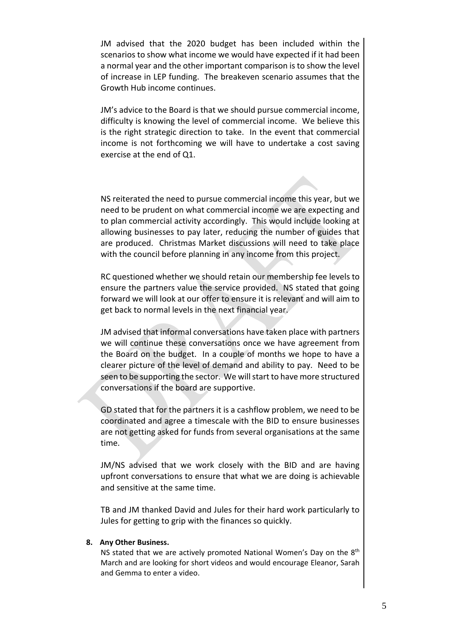JM advised that the 2020 budget has been included within the scenarios to show what income we would have expected if it had been a normal year and the other important comparison is to show the level of increase in LEP funding. The breakeven scenario assumes that the Growth Hub income continues.

JM's advice to the Board is that we should pursue commercial income, difficulty is knowing the level of commercial income. We believe this is the right strategic direction to take. In the event that commercial income is not forthcoming we will have to undertake a cost saving exercise at the end of Q1.

NS reiterated the need to pursue commercial income this year, but we need to be prudent on what commercial income we are expecting and to plan commercial activity accordingly. This would include looking at allowing businesses to pay later, reducing the number of guides that are produced. Christmas Market discussions will need to take place with the council before planning in any income from this project.

RC questioned whether we should retain our membership fee levels to ensure the partners value the service provided. NS stated that going forward we will look at our offer to ensure it is relevant and will aim to get back to normal levels in the next financial year.

JM advised that informal conversations have taken place with partners we will continue these conversations once we have agreement from the Board on the budget. In a couple of months we hope to have a clearer picture of the level of demand and ability to pay. Need to be seen to be supporting the sector. We will start to have more structured conversations if the board are supportive.

GD stated that for the partners it is a cashflow problem, we need to be coordinated and agree a timescale with the BID to ensure businesses are not getting asked for funds from several organisations at the same time.

JM/NS advised that we work closely with the BID and are having upfront conversations to ensure that what we are doing is achievable and sensitive at the same time.

TB and JM thanked David and Jules for their hard work particularly to Jules for getting to grip with the finances so quickly.

## **8. Any Other Business.**

NS stated that we are actively promoted National Women's Day on the 8<sup>th</sup> March and are looking for short videos and would encourage Eleanor, Sarah and Gemma to enter a video.